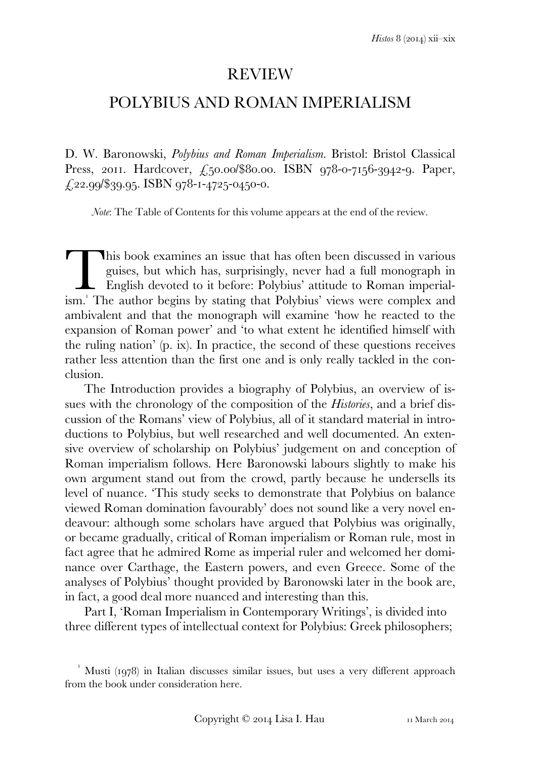## REVIEW

# POLYBIUS AND ROMAN IMPERIALISM

D. W. Baronowski, *Polybius and Roman Imperialism*. Bristol: Bristol Classical Press, 2011. Hardcover, £50.00/\$80.00. ISBN 978-0-7156-3942-9. Paper,  $\text{\textsterling}22.99/\$39.95$ . ISBN 978-1-4725-0450-0.

*Note*: The Table of Contents for this volume appears at the end of the review.

his book examines an issue that has often been discussed in various guises, but which has, surprisingly, never had a full monograph in English devoted to it before: Polybius' attitude to Roman imperial-This book examines an issue that has often been discussed in various guises, but which has, surprisingly, never had a full monograph in English devoted to it before: Polybius' attitude to Roman imperialism.' The author beg ambivalent and that the monograph will examine 'how he reacted to the expansion of Roman power' and 'to what extent he identified himself with the ruling nation' (p. ix). In practice, the second of these questions receives rather less attention than the first one and is only really tackled in the conclusion.

 The Introduction provides a biography of Polybius, an overview of issues with the chronology of the composition of the *Histories*, and a brief discussion of the Romans' view of Polybius, all of it standard material in introductions to Polybius, but well researched and well documented. An extensive overview of scholarship on Polybius' judgement on and conception of Roman imperialism follows. Here Baronowski labours slightly to make his own argument stand out from the crowd, partly because he undersells its level of nuance. 'This study seeks to demonstrate that Polybius on balance viewed Roman domination favourably' does not sound like a very novel endeavour: although some scholars have argued that Polybius was originally, or became gradually, critical of Roman imperialism or Roman rule, most in fact agree that he admired Rome as imperial ruler and welcomed her dominance over Carthage, the Eastern powers, and even Greece. Some of the analyses of Polybius' thought provided by Baronowski later in the book are, in fact, a good deal more nuanced and interesting than this.

 Part I, 'Roman Imperialism in Contemporary Writings', is divided into three different types of intellectual context for Polybius: Greek philosophers;

 $^1$  Musti (1978) in Italian discusses similar issues, but uses a very different approach from the book under consideration here.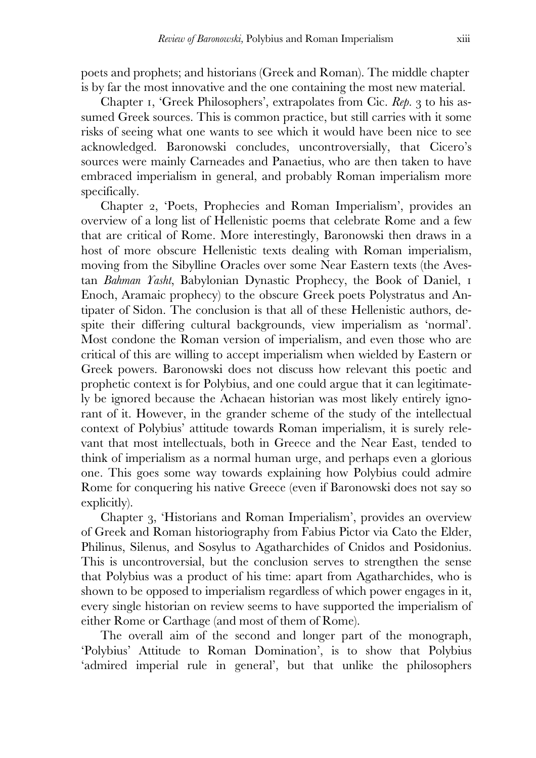poets and prophets; and historians (Greek and Roman). The middle chapter is by far the most innovative and the one containing the most new material.

Chapter I, 'Greek Philosophers', extrapolates from Cic. *Rep.* 3 to his assumed Greek sources. This is common practice, but still carries with it some risks of seeing what one wants to see which it would have been nice to see acknowledged. Baronowski concludes, uncontroversially, that Cicero's sources were mainly Carneades and Panaetius, who are then taken to have embraced imperialism in general, and probably Roman imperialism more specifically.

Chapter 2, 'Poets, Prophecies and Roman Imperialism', provides an overview of a long list of Hellenistic poems that celebrate Rome and a few that are critical of Rome. More interestingly, Baronowski then draws in a host of more obscure Hellenistic texts dealing with Roman imperialism, moving from the Sibylline Oracles over some Near Eastern texts (the Avestan *Bahman Yasht*, Babylonian Dynastic Prophecy, the Book of Daniel, Enoch, Aramaic prophecy) to the obscure Greek poets Polystratus and Antipater of Sidon. The conclusion is that all of these Hellenistic authors, despite their differing cultural backgrounds, view imperialism as 'normal'. Most condone the Roman version of imperialism, and even those who are critical of this are willing to accept imperialism when wielded by Eastern or Greek powers. Baronowski does not discuss how relevant this poetic and prophetic context is for Polybius, and one could argue that it can legitimately be ignored because the Achaean historian was most likely entirely ignorant of it. However, in the grander scheme of the study of the intellectual context of Polybius' attitude towards Roman imperialism, it is surely relevant that most intellectuals, both in Greece and the Near East, tended to think of imperialism as a normal human urge, and perhaps even a glorious one. This goes some way towards explaining how Polybius could admire Rome for conquering his native Greece (even if Baronowski does not say so explicitly).

 Chapter , 'Historians and Roman Imperialism', provides an overview of Greek and Roman historiography from Fabius Pictor via Cato the Elder, Philinus, Silenus, and Sosylus to Agatharchides of Cnidos and Posidonius. This is uncontroversial, but the conclusion serves to strengthen the sense that Polybius was a product of his time: apart from Agatharchides, who is shown to be opposed to imperialism regardless of which power engages in it, every single historian on review seems to have supported the imperialism of either Rome or Carthage (and most of them of Rome).

 The overall aim of the second and longer part of the monograph, 'Polybius' Attitude to Roman Domination', is to show that Polybius 'admired imperial rule in general', but that unlike the philosophers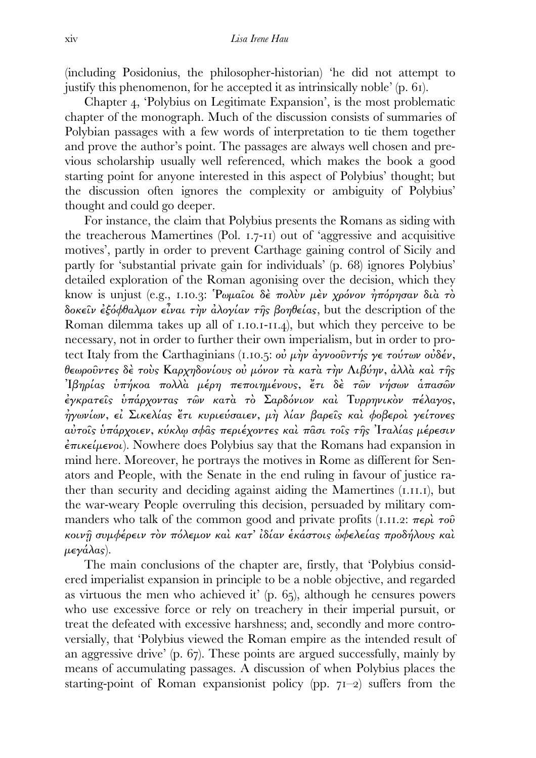(including Posidonius, the philosopher-historian) 'he did not attempt to justify this phenomenon, for he accepted it as intrinsically noble'  $(p. 6i)$ .

Chapter 4, 'Polybius on Legitimate Expansion', is the most problematic chapter of the monograph. Much of the discussion consists of summaries of Polybian passages with a few words of interpretation to tie them together and prove the author's point. The passages are always well chosen and previous scholarship usually well referenced, which makes the book a good starting point for anyone interested in this aspect of Polybius' thought; but the discussion often ignores the complexity or ambiguity of Polybius' thought and could go deeper.

 For instance, the claim that Polybius presents the Romans as siding with the treacherous Mamertines (Pol.  $1.7-11$ ) out of 'aggressive and acquisitive motives', partly in order to prevent Carthage gaining control of Sicily and partly for 'substantial private gain for individuals' (p. 68) ignores Polybius' detailed exploration of the Roman agonising over the decision, which they know is unjust (e.g., 1.10.3: Ρωμαΐοι δέ πολὺν μὲν χρόνον ήπόρησαν διὰ τὸ δοκείν εξόφθαλμον είναι την αλογίαν της βοηθείας, but the description of the Roman dilemma takes up all of  $I.I.O.I-II.A$ ), but which they perceive to be necessary, not in order to further their own imperialism, but in order to protect Italy from the Carthaginians (1.10.5: οὐ μὴν ἀγνοοῦντής γε τούτων οὐδέν, θεωροῦντες δὲ τοὺς Καρχηδονίους οὐ µόνον τὰ κατὰ τὴν Λιβύην, ἀλλὰ καὶ τῆς Ἰβηρίας ὑπήκοα πολλὰ µέρη πεποιηµένους, ἔτι δὲ τῶν νήσων ἁπασῶν ἐγκρατεῖς ὑπάρχοντας τῶν κατὰ τὸ Σαρδόνιον καὶ Τυρρηνικὸν πέλαγος, ἠγωνίων, εἰ Σικελίας ἔτι κυριεύσαιεν, µὴ λίαν βαρεῖς καὶ φοβεροὶ γείτονες αὐτοῖς ὑπάρχοιεν, κύκλῳ σφᾶς περιέχοντες καὶ πᾶσι τοῖς τῆς Ἰταλίας µέρεσιν  $\epsilon \pi \iota \kappa \epsilon \iota \mu \epsilon \nu o \iota$ ). Nowhere does Polybius say that the Romans had expansion in mind here. Moreover, he portrays the motives in Rome as different for Senators and People, with the Senate in the end ruling in favour of justice rather than security and deciding against aiding the Mamertines (I.II.I), but the war-weary People overruling this decision, persuaded by military commanders who talk of the common good and private profits ( $I.H.I.2$ :  $\pi \epsilon \rho \hat{i} \tau \sigma \hat{v}$ κοινῇ συµφέρειν τὸν πόλεµον καὶ κατ' ἰδίαν ἑκάστοις ὠφελείας προδήλους καὶ µεγάλας).

 The main conclusions of the chapter are, firstly, that 'Polybius considered imperialist expansion in principle to be a noble objective, and regarded as virtuous the men who achieved it' (p.  $65$ ), although he censures powers who use excessive force or rely on treachery in their imperial pursuit, or treat the defeated with excessive harshness; and, secondly and more controversially, that 'Polybius viewed the Roman empire as the intended result of an aggressive drive'  $(p. 67)$ . These points are argued successfully, mainly by means of accumulating passages. A discussion of when Polybius places the starting-point of Roman expansionist policy (pp.  $71-2$ ) suffers from the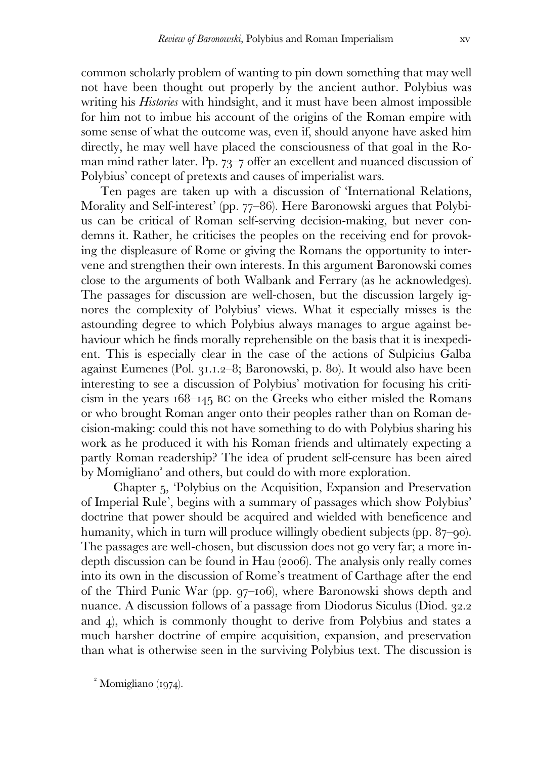common scholarly problem of wanting to pin down something that may well not have been thought out properly by the ancient author. Polybius was writing his *Histories* with hindsight, and it must have been almost impossible for him not to imbue his account of the origins of the Roman empire with some sense of what the outcome was, even if, should anyone have asked him directly, he may well have placed the consciousness of that goal in the Roman mind rather later. Pp.  $73-7$  offer an excellent and nuanced discussion of Polybius' concept of pretexts and causes of imperialist wars.

 Ten pages are taken up with a discussion of 'International Relations, Morality and Self-interest' (pp. 77–86). Here Baronowski argues that Polybius can be critical of Roman self-serving decision-making, but never condemns it. Rather, he criticises the peoples on the receiving end for provoking the displeasure of Rome or giving the Romans the opportunity to intervene and strengthen their own interests. In this argument Baronowski comes close to the arguments of both Walbank and Ferrary (as he acknowledges). The passages for discussion are well-chosen, but the discussion largely ignores the complexity of Polybius' views. What it especially misses is the astounding degree to which Polybius always manages to argue against behaviour which he finds morally reprehensible on the basis that it is inexpedient. This is especially clear in the case of the actions of Sulpicius Galba against Eumenes (Pol.  $31.1.2-8$ ; Baronowski, p. 80). It would also have been interesting to see a discussion of Polybius' motivation for focusing his criticism in the years  $168-145$  BC on the Greeks who either misled the Romans or who brought Roman anger onto their peoples rather than on Roman decision-making: could this not have something to do with Polybius sharing his work as he produced it with his Roman friends and ultimately expecting a partly Roman readership? The idea of prudent self-censure has been aired by Momigliano<sup>2</sup> and others, but could do with more exploration.

Chapter , 'Polybius on the Acquisition, Expansion and Preservation of Imperial Rule', begins with a summary of passages which show Polybius' doctrine that power should be acquired and wielded with beneficence and humanity, which in turn will produce willingly obedient subjects (pp.  $87$ –90). The passages are well-chosen, but discussion does not go very far; a more indepth discussion can be found in Hau  $(2006)$ . The analysis only really comes into its own in the discussion of Rome's treatment of Carthage after the end of the Third Punic War (pp.  $97$ –106), where Baronowski shows depth and nuance. A discussion follows of a passage from Diodorus Siculus (Diod. 32.2) and  $\phi$ , which is commonly thought to derive from Polybius and states a much harsher doctrine of empire acquisition, expansion, and preservation than what is otherwise seen in the surviving Polybius text. The discussion is

 $^2$  Momigliano (1974).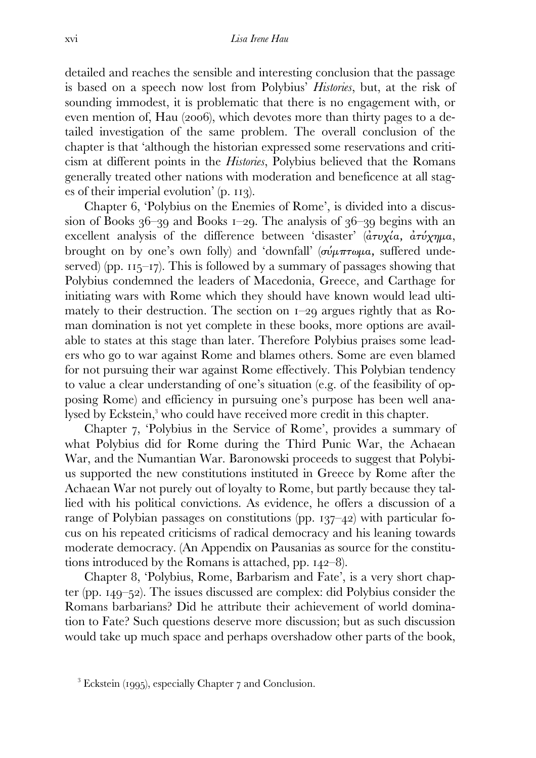detailed and reaches the sensible and interesting conclusion that the passage is based on a speech now lost from Polybius' *Histories*, but, at the risk of sounding immodest, it is problematic that there is no engagement with, or even mention of, Hau (2006), which devotes more than thirty pages to a detailed investigation of the same problem. The overall conclusion of the chapter is that 'although the historian expressed some reservations and criticism at different points in the *Histories*, Polybius believed that the Romans generally treated other nations with moderation and beneficence at all stages of their imperial evolution'  $(p. 113)$ .

Chapter 6, 'Polybius on the Enemies of Rome', is divided into a discussion of Books  $36-39$  and Books  $1-29$ . The analysis of  $36-39$  begins with an excellent analysis of the difference between 'disaster' ( $\frac{\partial \tau v}{\partial x}$   $\frac{\partial \tau v}{\partial y}$  $\frac{\partial \tau v}{\partial y}$ brought on by one's own folly) and 'downfall' ( $\sigma \omega \mu \pi \tau \omega \mu a$ , suffered undeserved) (pp.  $115-17$ ). This is followed by a summary of passages showing that Polybius condemned the leaders of Macedonia, Greece, and Carthage for initiating wars with Rome which they should have known would lead ultimately to their destruction. The section on  $I-29$  argues rightly that as Roman domination is not yet complete in these books, more options are available to states at this stage than later. Therefore Polybius praises some leaders who go to war against Rome and blames others. Some are even blamed for not pursuing their war against Rome effectively. This Polybian tendency to value a clear understanding of one's situation (e.g. of the feasibility of opposing Rome) and efficiency in pursuing one's purpose has been well analysed by Eckstein,<sup>3</sup> who could have received more credit in this chapter.

Chapter 7, 'Polybius in the Service of Rome', provides a summary of what Polybius did for Rome during the Third Punic War, the Achaean War, and the Numantian War. Baronowski proceeds to suggest that Polybius supported the new constitutions instituted in Greece by Rome after the Achaean War not purely out of loyalty to Rome, but partly because they tallied with his political convictions. As evidence, he offers a discussion of a range of Polybian passages on constitutions (pp.  $137-42$ ) with particular focus on his repeated criticisms of radical democracy and his leaning towards moderate democracy. (An Appendix on Pausanias as source for the constitutions introduced by the Romans is attached, pp.  $142-8$ .

Chapter 8, 'Polybius, Rome, Barbarism and Fate', is a very short chapter (pp.  $149-52$ ). The issues discussed are complex: did Polybius consider the Romans barbarians? Did he attribute their achievement of world domination to Fate? Such questions deserve more discussion; but as such discussion would take up much space and perhaps overshadow other parts of the book,

 $3$  Eckstein (1995), especially Chapter  $7$  and Conclusion.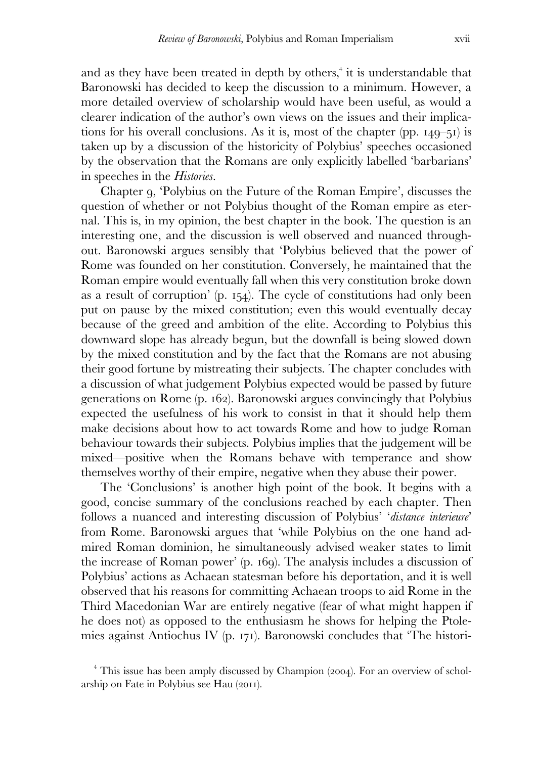and as they have been treated in depth by others,<sup>4</sup> it is understandable that Baronowski has decided to keep the discussion to a minimum. However, a more detailed overview of scholarship would have been useful, as would a clearer indication of the author's own views on the issues and their implications for his overall conclusions. As it is, most of the chapter (pp.  $149-51$ ) is taken up by a discussion of the historicity of Polybius' speeches occasioned by the observation that the Romans are only explicitly labelled 'barbarians' in speeches in the *Histories*.

Chapter , 'Polybius on the Future of the Roman Empire', discusses the question of whether or not Polybius thought of the Roman empire as eternal. This is, in my opinion, the best chapter in the book. The question is an interesting one, and the discussion is well observed and nuanced throughout. Baronowski argues sensibly that 'Polybius believed that the power of Rome was founded on her constitution. Conversely, he maintained that the Roman empire would eventually fall when this very constitution broke down as a result of corruption'  $(p. 154)$ . The cycle of constitutions had only been put on pause by the mixed constitution; even this would eventually decay because of the greed and ambition of the elite. According to Polybius this downward slope has already begun, but the downfall is being slowed down by the mixed constitution and by the fact that the Romans are not abusing their good fortune by mistreating their subjects. The chapter concludes with a discussion of what judgement Polybius expected would be passed by future generations on Rome (p. 162). Baronowski argues convincingly that Polybius expected the usefulness of his work to consist in that it should help them make decisions about how to act towards Rome and how to judge Roman behaviour towards their subjects. Polybius implies that the judgement will be mixed—positive when the Romans behave with temperance and show themselves worthy of their empire, negative when they abuse their power.

The 'Conclusions' is another high point of the book. It begins with a good, concise summary of the conclusions reached by each chapter. Then follows a nuanced and interesting discussion of Polybius' '*distance interieure*' from Rome. Baronowski argues that 'while Polybius on the one hand admired Roman dominion, he simultaneously advised weaker states to limit the increase of Roman power' (p. 169). The analysis includes a discussion of Polybius' actions as Achaean statesman before his deportation, and it is well observed that his reasons for committing Achaean troops to aid Rome in the Third Macedonian War are entirely negative (fear of what might happen if he does not) as opposed to the enthusiasm he shows for helping the Ptolemies against Antiochus IV (p. 171). Baronowski concludes that 'The histori-

 $4$  This issue has been amply discussed by Champion (2004). For an overview of scholarship on Fate in Polybius see Hau (2011).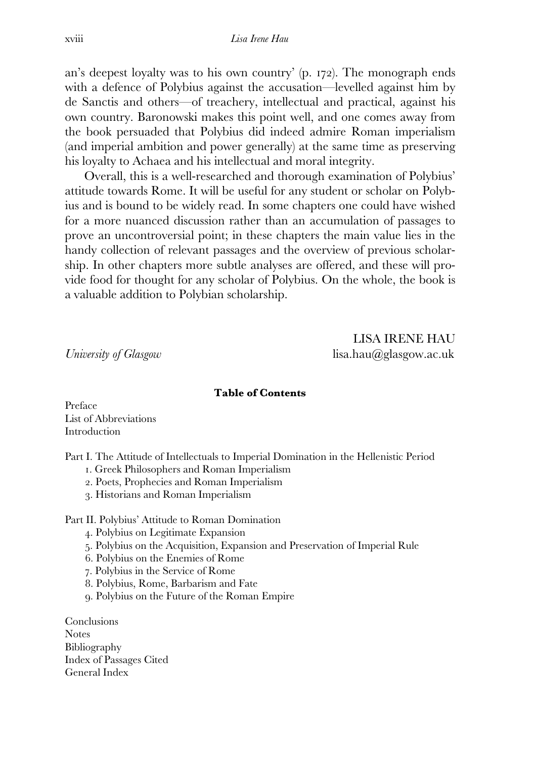an's deepest loyalty was to his own country'  $(p, 172)$ . The monograph ends with a defence of Polybius against the accusation—levelled against him by de Sanctis and others—of treachery, intellectual and practical, against his own country. Baronowski makes this point well, and one comes away from the book persuaded that Polybius did indeed admire Roman imperialism (and imperial ambition and power generally) at the same time as preserving his loyalty to Achaea and his intellectual and moral integrity.

 Overall, this is a well-researched and thorough examination of Polybius' attitude towards Rome. It will be useful for any student or scholar on Polybius and is bound to be widely read. In some chapters one could have wished for a more nuanced discussion rather than an accumulation of passages to prove an uncontroversial point; in these chapters the main value lies in the handy collection of relevant passages and the overview of previous scholarship. In other chapters more subtle analyses are offered, and these will provide food for thought for any scholar of Polybius. On the whole, the book is a valuable addition to Polybian scholarship.

LISA IRENE HAU *University of Glasgow* and *university of Glasgow* and *university of Glasgow* 

#### **Table of Contents**

Preface List of Abbreviations Introduction

Part I. The Attitude of Intellectuals to Imperial Domination in the Hellenistic Period

- . Greek Philosophers and Roman Imperialism
- . Poets, Prophecies and Roman Imperialism
- . Historians and Roman Imperialism

#### Part II. Polybius' Attitude to Roman Domination

- . Polybius on Legitimate Expansion
- . Polybius on the Acquisition, Expansion and Preservation of Imperial Rule
- . Polybius on the Enemies of Rome
- . Polybius in the Service of Rome
- . Polybius, Rome, Barbarism and Fate
- . Polybius on the Future of the Roman Empire

Conclusions **Notes** Bibliography Index of Passages Cited General Index